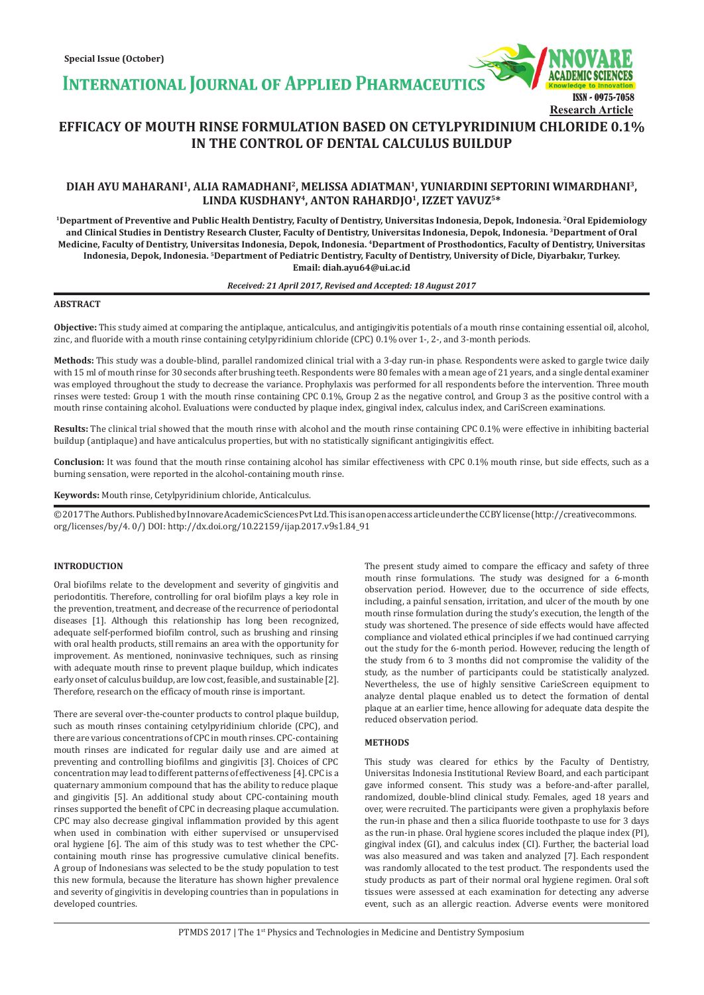**INTERNATIONAL JOURNAL OF APPLIED PHARMACEUTICS** 



# **EFFICACY OF MOUTH RINSE FORMULATION BASED ON CETYLPYRIDINIUM CHLORIDE 0.1% IN THE CONTROL OF DENTAL CALCULUS BUILDUP**

## **DIAH AYU MAHARANI1, ALIA RAMADHANI2, MELISSA ADIATMAN1, YUNIARDINI SEPTORINI WIMARDHANI3, LINDA KUSDHANY4, ANTON RAHARDJO1, IZZET YAVUZ5\***

**1Department of Preventive and Public Health Dentistry, Faculty of Dentistry, Universitas Indonesia, Depok, Indonesia. 2Oral Epidemiology and Clinical Studies in Dentistry Research Cluster, Faculty of Dentistry, Universitas Indonesia, Depok, Indonesia. 3Department of Oral Medicine, Faculty of Dentistry, Universitas Indonesia, Depok, Indonesia. 4Department of Prosthodontics, Faculty of Dentistry, Universitas Indonesia, Depok, Indonesia. 5Department of Pediatric Dentistry, Faculty of Dentistry, University of Dicle, Diyarbakır, Turkey. Email: diah.ayu64@ui.ac.id**

#### *Received: 21 April 2017, Revised and Accepted: 18 August 2017*

#### **ABSTRACT**

**Objective:** This study aimed at comparing the antiplaque, anticalculus, and antigingivitis potentials of a mouth rinse containing essential oil, alcohol, zinc, and fluoride with a mouth rinse containing cetylpyridinium chloride (CPC) 0.1% over 1-, 2-, and 3-month periods.

**Methods:** This study was a double-blind, parallel randomized clinical trial with a 3-day run-in phase. Respondents were asked to gargle twice daily with 15 ml of mouth rinse for 30 seconds after brushing teeth. Respondents were 80 females with a mean age of 21 years, and a single dental examiner was employed throughout the study to decrease the variance. Prophylaxis was performed for all respondents before the intervention. Three mouth rinses were tested: Group 1 with the mouth rinse containing CPC 0.1%, Group 2 as the negative control, and Group 3 as the positive control with a mouth rinse containing alcohol. Evaluations were conducted by plaque index, gingival index, calculus index, and CariScreen examinations.

Results: The clinical trial showed that the mouth rinse with alcohol and the mouth rinse containing CPC 0.1% were effective in inhibiting bacterial buildup (antiplaque) and have anticalculus properties, but with no statistically significant antigingivitis effect.

**Conclusion:** It was found that the mouth rinse containing alcohol has similar effectiveness with CPC 0.1% mouth rinse, but side effects, such as a burning sensation, were reported in the alcohol-containing mouth rinse.

**Keywords:** Mouth rinse, Cetylpyridinium chloride, Anticalculus.

© 2017 The Authors. Published by Innovare Academic Sciences Pvt Ltd. This is an open access article under the CC BY license (http://creativecommons. org/licenses/by/4. 0/) DOI: http://dx.doi.org/10.22159/ijap.2017.v9s1.84\_91

#### **INTRODUCTION**

Oral biofilms relate to the development and severity of gingivitis and periodontitis. Therefore, controlling for oral biofilm plays a key role in the prevention, treatment, and decrease of the recurrence of periodontal diseases [1]. Although this relationship has long been recognized, adequate self-performed biofilm control, such as brushing and rinsing with oral health products, still remains an area with the opportunity for improvement. As mentioned, noninvasive techniques, such as rinsing with adequate mouth rinse to prevent plaque buildup, which indicates early onset of calculus buildup, are low cost, feasible, and sustainable [2]. Therefore, research on the efficacy of mouth rinse is important.

There are several over-the-counter products to control plaque buildup, such as mouth rinses containing cetylpyridinium chloride (CPC), and there are various concentrations of CPC in mouth rinses. CPC-containing mouth rinses are indicated for regular daily use and are aimed at preventing and controlling biofilms and gingivitis [3]. Choices of CPC concentration may lead to different patterns of effectiveness [4]. CPC is a quaternary ammonium compound that has the ability to reduce plaque and gingivitis [5]. An additional study about CPC-containing mouth rinses supported the benefit of CPC in decreasing plaque accumulation. CPC may also decrease gingival inflammation provided by this agent when used in combination with either supervised or unsupervised oral hygiene [6]. The aim of this study was to test whether the CPCcontaining mouth rinse has progressive cumulative clinical benefits. A group of Indonesians was selected to be the study population to test this new formula, because the literature has shown higher prevalence and severity of gingivitis in developing countries than in populations in developed countries.

The present study aimed to compare the efficacy and safety of three mouth rinse formulations. The study was designed for a 6-month observation period. However, due to the occurrence of side effects, including, a painful sensation, irritation, and ulcer of the mouth by one mouth rinse formulation during the study's execution, the length of the study was shortened. The presence of side effects would have affected compliance and violated ethical principles if we had continued carrying out the study for the 6-month period. However, reducing the length of the study from 6 to 3 months did not compromise the validity of the study, as the number of participants could be statistically analyzed. Nevertheless, the use of highly sensitive CarieScreen equipment to analyze dental plaque enabled us to detect the formation of dental plaque at an earlier time, hence allowing for adequate data despite the reduced observation period.

### **METHODS**

This study was cleared for ethics by the Faculty of Dentistry, Universitas Indonesia Institutional Review Board, and each participant gave informed consent. This study was a before-and-after parallel, randomized, double-blind clinical study. Females, aged 18 years and over, were recruited. The participants were given a prophylaxis before the run-in phase and then a silica fluoride toothpaste to use for 3 days as the run-in phase. Oral hygiene scores included the plaque index (PI), gingival index (GI), and calculus index (CI). Further, the bacterial load was also measured and was taken and analyzed [7]. Each respondent was randomly allocated to the test product. The respondents used the study products as part of their normal oral hygiene regimen. Oral soft tissues were assessed at each examination for detecting any adverse event, such as an allergic reaction. Adverse events were monitored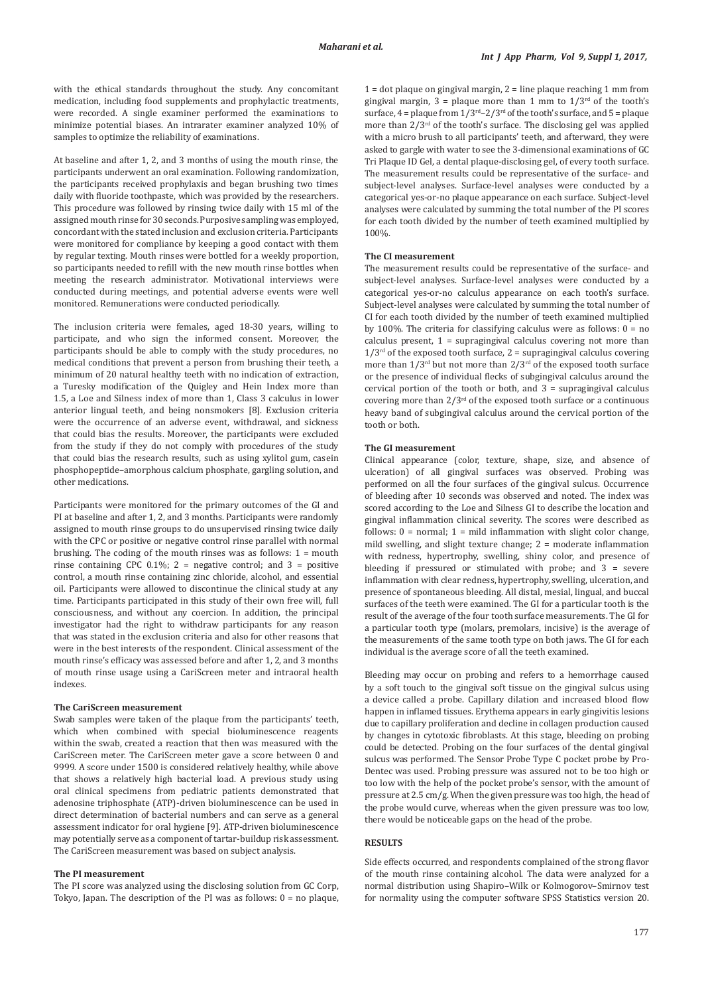with the ethical standards throughout the study. Any concomitant medication, including food supplements and prophylactic treatments, were recorded. A single examiner performed the examinations to minimize potential biases. An intrarater examiner analyzed 10% of samples to optimize the reliability of examinations.

At baseline and after 1, 2, and 3 months of using the mouth rinse, the participants underwent an oral examination. Following randomization, the participants received prophylaxis and began brushing two times daily with fluoride toothpaste, which was provided by the researchers. This procedure was followed by rinsing twice daily with 15 ml of the assigned mouth rinse for 30 seconds. Purposive sampling was employed, concordant with the stated inclusion and exclusion criteria. Participants were monitored for compliance by keeping a good contact with them by regular texting. Mouth rinses were bottled for a weekly proportion, so participants needed to refill with the new mouth rinse bottles when meeting the research administrator. Motivational interviews were conducted during meetings, and potential adverse events were well monitored. Remunerations were conducted periodically.

The inclusion criteria were females, aged 18-30 years, willing to participate, and who sign the informed consent. Moreover, the participants should be able to comply with the study procedures, no medical conditions that prevent a person from brushing their teeth, a minimum of 20 natural healthy teeth with no indication of extraction, a Turesky modification of the Quigley and Hein Index more than 1.5, a Loe and Silness index of more than 1, Class 3 calculus in lower anterior lingual teeth, and being nonsmokers [8]. Exclusion criteria were the occurrence of an adverse event, withdrawal, and sickness that could bias the results. Moreover, the participants were excluded from the study if they do not comply with procedures of the study that could bias the research results, such as using xylitol gum, casein phosphopeptide–amorphous calcium phosphate, gargling solution, and other medications.

Participants were monitored for the primary outcomes of the GI and PI at baseline and after 1, 2, and 3 months. Participants were randomly assigned to mouth rinse groups to do unsupervised rinsing twice daily with the CPC or positive or negative control rinse parallel with normal brushing. The coding of the mouth rinses was as follows: 1 = mouth rinse containing CPC 0.1%;  $2 =$  negative control; and  $3 =$  positive control, a mouth rinse containing zinc chloride, alcohol, and essential oil. Participants were allowed to discontinue the clinical study at any time. Participants participated in this study of their own free will, full consciousness, and without any coercion. In addition, the principal investigator had the right to withdraw participants for any reason that was stated in the exclusion criteria and also for other reasons that were in the best interests of the respondent. Clinical assessment of the mouth rinse's efficacy was assessed before and after 1, 2, and 3 months of mouth rinse usage using a CariScreen meter and intraoral health indexes.

#### **The CariScreen measurement**

Swab samples were taken of the plaque from the participants' teeth, which when combined with special bioluminescence reagents within the swab, created a reaction that then was measured with the CariScreen meter. The CariScreen meter gave a score between 0 and 9999. A score under 1500 is considered relatively healthy, while above that shows a relatively high bacterial load. A previous study using oral clinical specimens from pediatric patients demonstrated that adenosine triphosphate (ATP)-driven bioluminescence can be used in direct determination of bacterial numbers and can serve as a general assessment indicator for oral hygiene [9]. ATP-driven bioluminescence may potentially serve as a component of tartar-buildup risk assessment. The CariScreen measurement was based on subject analysis.

#### **The PI measurement**

The PI score was analyzed using the disclosing solution from GC Corp, Tokyo, Japan. The description of the PI was as follows: 0 = no plaque,

 $1 = dot$  plaque on gingival margin,  $2 =$  line plaque reaching 1 mm from gingival margin,  $3 =$  plaque more than 1 mm to  $1/3^{rd}$  of the tooth's surface,  $4 =$  plaque from  $1/3^{rd} - 2/3^{rd}$  of the tooth's surface, and  $5 =$  plaque more than  $2/3<sup>rd</sup>$  of the tooth's surface. The disclosing gel was applied with a micro brush to all participants' teeth, and afterward, they were asked to gargle with water to see the 3-dimensional examinations of GC Tri Plaque ID Gel, a dental plaque-disclosing gel, of every tooth surface. The measurement results could be representative of the surface- and subject-level analyses. Surface-level analyses were conducted by a categorical yes-or-no plaque appearance on each surface. Subject-level analyses were calculated by summing the total number of the PI scores for each tooth divided by the number of teeth examined multiplied by 100%.

### **The CI measurement**

The measurement results could be representative of the surface- and subject-level analyses. Surface-level analyses were conducted by a categorical yes-or-no calculus appearance on each tooth's surface. Subject-level analyses were calculated by summing the total number of CI for each tooth divided by the number of teeth examined multiplied by 100%. The criteria for classifying calculus were as follows:  $0 = no$ calculus present, 1 = supragingival calculus covering not more than  $1/3^{rd}$  of the exposed tooth surface,  $2 =$  supragingival calculus covering more than  $1/3^{rd}$  but not more than  $2/3^{rd}$  of the exposed tooth surface or the presence of individual flecks of subgingival calculus around the cervical portion of the tooth or both, and 3 = supragingival calculus covering more than  $2/3^{rd}$  of the exposed tooth surface or a continuous heavy band of subgingival calculus around the cervical portion of the tooth or both.

#### **The GI measurement**

Clinical appearance (color, texture, shape, size, and absence of ulceration) of all gingival surfaces was observed. Probing was performed on all the four surfaces of the gingival sulcus. Occurrence of bleeding after 10 seconds was observed and noted. The index was scored according to the Loe and Silness GI to describe the location and gingival inflammation clinical severity. The scores were described as follows:  $0 =$  normal;  $1 =$  mild inflammation with slight color change, mild swelling, and slight texture change; 2 = moderate inflammation with redness, hypertrophy, swelling, shiny color, and presence of bleeding if pressured or stimulated with probe; and 3 = severe inflammation with clear redness, hypertrophy, swelling, ulceration, and presence of spontaneous bleeding. All distal, mesial, lingual, and buccal surfaces of the teeth were examined. The GI for a particular tooth is the result of the average of the four tooth surface measurements. The GI for a particular tooth type (molars, premolars, incisive) is the average of the measurements of the same tooth type on both jaws. The GI for each individual is the average score of all the teeth examined.

Bleeding may occur on probing and refers to a hemorrhage caused by a soft touch to the gingival soft tissue on the gingival sulcus using a device called a probe. Capillary dilation and increased blood flow happen in inflamed tissues. Erythema appears in early gingivitis lesions due to capillary proliferation and decline in collagen production caused by changes in cytotoxic fibroblasts. At this stage, bleeding on probing could be detected. Probing on the four surfaces of the dental gingival sulcus was performed. The Sensor Probe Type C pocket probe by Pro-Dentec was used. Probing pressure was assured not to be too high or too low with the help of the pocket probe's sensor, with the amount of pressure at 2.5 cm/g. When the given pressure was too high, the head of the probe would curve, whereas when the given pressure was too low, there would be noticeable gaps on the head of the probe.

#### **RESULTS**

Side effects occurred, and respondents complained of the strong flavor of the mouth rinse containing alcohol. The data were analyzed for a normal distribution using Shapiro–Wilk or Kolmogorov–Smirnov test for normality using the computer software SPSS Statistics version 20.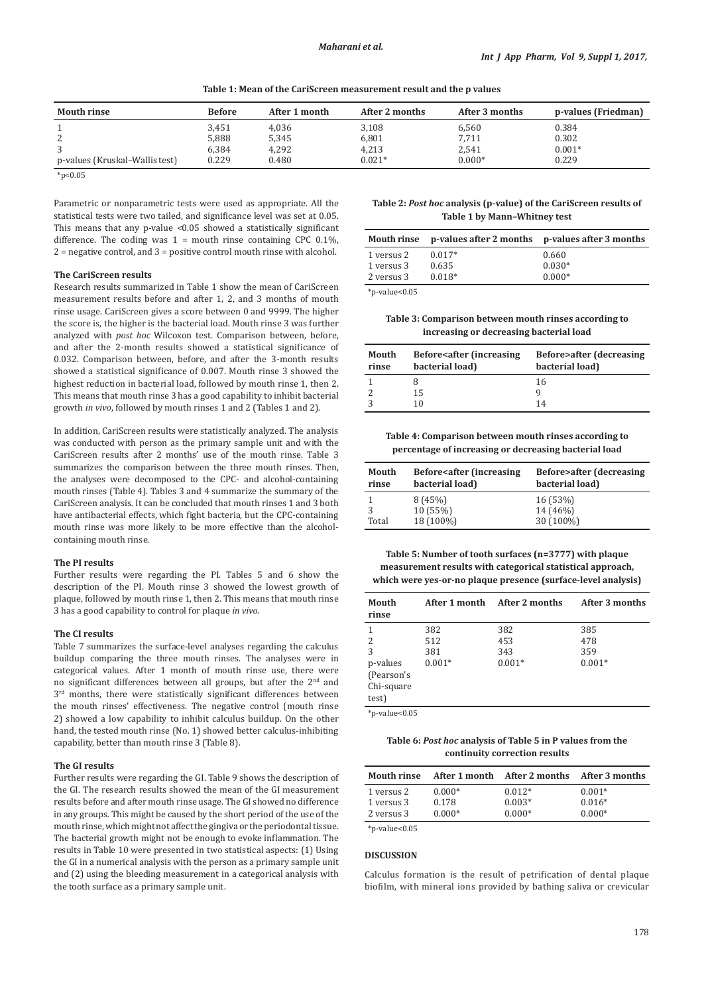**Table 1: Mean of the CariScreen measurement result and the p values**

| <b>Mouth rinse</b>             | <b>Before</b> | After 1 month | After 2 months | After 3 months | p-values (Friedman) |
|--------------------------------|---------------|---------------|----------------|----------------|---------------------|
|                                | 3,451         | 4,036         | 3,108          | 6,560          | 0.384               |
| 2                              | 5.888         | 5,345         | 6,801          | 7,711          | 0.302               |
| 3                              | 6.384         | 4.292         | 4,213          | 2,541          | $0.001*$            |
| p-values (Kruskal–Wallis test) | 0.229         | 0.480         | $0.021*$       | $0.000*$       | 0.229               |
| $*_{p<0.05}$                   |               |               |                |                |                     |

Parametric or nonparametric tests were used as appropriate. All the statistical tests were two tailed, and significance level was set at 0.05. This means that any p-value <0.05 showed a statistically significant difference. The coding was  $1 =$  mouth rinse containing CPC 0.1%, 2 = negative control, and 3 = positive control mouth rinse with alcohol.

#### **The CariScreen results**

Research results summarized in Table 1 show the mean of CariScreen measurement results before and after 1, 2, and 3 months of mouth rinse usage. CariScreen gives a score between 0 and 9999. The higher the score is, the higher is the bacterial load. Mouth rinse 3 was further analyzed with *post hoc* Wilcoxon test. Comparison between, before, and after the 2-month results showed a statistical significance of 0.032. Comparison between, before, and after the 3-month results showed a statistical significance of 0.007. Mouth rinse 3 showed the highest reduction in bacterial load, followed by mouth rinse 1, then 2. This means that mouth rinse 3 has a good capability to inhibit bacterial growth *in vivo*, followed by mouth rinses 1 and 2 (Tables 1 and 2).

In addition, CariScreen results were statistically analyzed. The analysis was conducted with person as the primary sample unit and with the CariScreen results after 2 months' use of the mouth rinse. Table 3 summarizes the comparison between the three mouth rinses. Then, the analyses were decomposed to the CPC- and alcohol-containing mouth rinses (Table 4). Tables 3 and 4 summarize the summary of the CariScreen analysis. It can be concluded that mouth rinses 1 and 3 both have antibacterial effects, which fight bacteria, but the CPC-containing mouth rinse was more likely to be more effective than the alcoholcontaining mouth rinse.

#### **The PI results**

Further results were regarding the PI. Tables 5 and 6 show the description of the PI. Mouth rinse 3 showed the lowest growth of plaque, followed by mouth rinse 1, then 2. This means that mouth rinse 3 has a good capability to control for plaque *in vivo*.

#### **The CI results**

Table 7 summarizes the surface-level analyses regarding the calculus buildup comparing the three mouth rinses. The analyses were in categorical values. After 1 month of mouth rinse use, there were no significant differences between all groups, but after the 2<sup>nd</sup> and  $3<sup>rd</sup>$  months, there were statistically significant differences between the mouth rinses' effectiveness. The negative control (mouth rinse 2) showed a low capability to inhibit calculus buildup. On the other hand, the tested mouth rinse (No. 1) showed better calculus-inhibiting capability, better than mouth rinse 3 (Table 8).

#### **The GI results**

Further results were regarding the GI. Table 9 shows the description of the GI. The research results showed the mean of the GI measurement results before and after mouth rinse usage. The GI showed no difference in any groups. This might be caused by the short period of the use of the mouth rinse, which might not affect the gingiva or the periodontal tissue. The bacterial growth might not be enough to evoke inflammation. The results in Table 10 were presented in two statistical aspects: (1) Using the GI in a numerical analysis with the person as a primary sample unit and (2) using the bleeding measurement in a categorical analysis with the tooth surface as a primary sample unit.

**Table 2:** *Post hoc* **analysis (p‑value) of the CariScreen results of Table 1 by Mann–Whitney test**

|            | Mouth rinse p-values after 2 months p-values after 3 months |          |
|------------|-------------------------------------------------------------|----------|
| 1 versus 2 | $0.017*$                                                    | 0.660    |
| 1 versus 3 | 0.635                                                       | $0.030*$ |
| 2 versus 3 | $0.018*$                                                    | $0.000*$ |
|            |                                                             |          |

\*p-value<0.05

**Table 3: Comparison between mouth rinses according to increasing or decreasing bacterial load**

| Mouth<br>rinse | <b>Before</b> <after (increasing<br="">bacterial load)</after> | <b>Before&gt;after (decreasing</b><br>bacterial load) |
|----------------|----------------------------------------------------------------|-------------------------------------------------------|
|                |                                                                | 16                                                    |
|                | 15                                                             |                                                       |
|                | 10                                                             | 14                                                    |

**Table 4: Comparison between mouth rinses according to percentage of increasing or decreasing bacterial load**

| Mouth<br>rinse | <b>Before<after (increasing<="" b=""><br/>bacterial load)</after></b> | <b>Before&gt;after</b> (decreasing<br>bacterial load) |
|----------------|-----------------------------------------------------------------------|-------------------------------------------------------|
|                | 8(45%)                                                                | 16(53%)                                               |
|                | 10(55%)                                                               | 14 (46%)                                              |
| Total          | 18 (100%)                                                             | 30 (100%)                                             |

**Table 5: Number of tooth surfaces (n=3777) with plaque measurement results with categorical statistical approach, which were yes‑or‑no plaque presence (surface‑level analysis)**

| Mouth<br>rinse | After 1 month | After 2 months | After 3 months |
|----------------|---------------|----------------|----------------|
| 1              | 382           | 382            | 385            |
| 2              | 512           | 453            | 478            |
| 3              | 381           | 343            | 359            |
| p-values       | $0.001*$      | $0.001*$       | $0.001*$       |
| (Pearson's     |               |                |                |
| Chi-square     |               |                |                |
| test)          |               |                |                |

 $*$ p-value< $0.05$ 

**Table 6:** *Post hoc* **analysis of Table 5 in P values from the continuity correction results**

| <b>Mouth rinse</b>  | After 1 month | After 2 months | After 3 months |
|---------------------|---------------|----------------|----------------|
| 1 versus 2          | $0.000*$      | $0.012*$       | $0.001*$       |
| 1 versus 3          | 0.178         | $0.003*$       | $0.016*$       |
| 2 versus 3          | $0.000*$      | $0.000*$       | $0.000*$       |
| $*$ p-value< $0.05$ |               |                |                |

## **DISCUSSION**

Calculus formation is the result of petrification of dental plaque biofilm, with mineral ions provided by bathing saliva or crevicular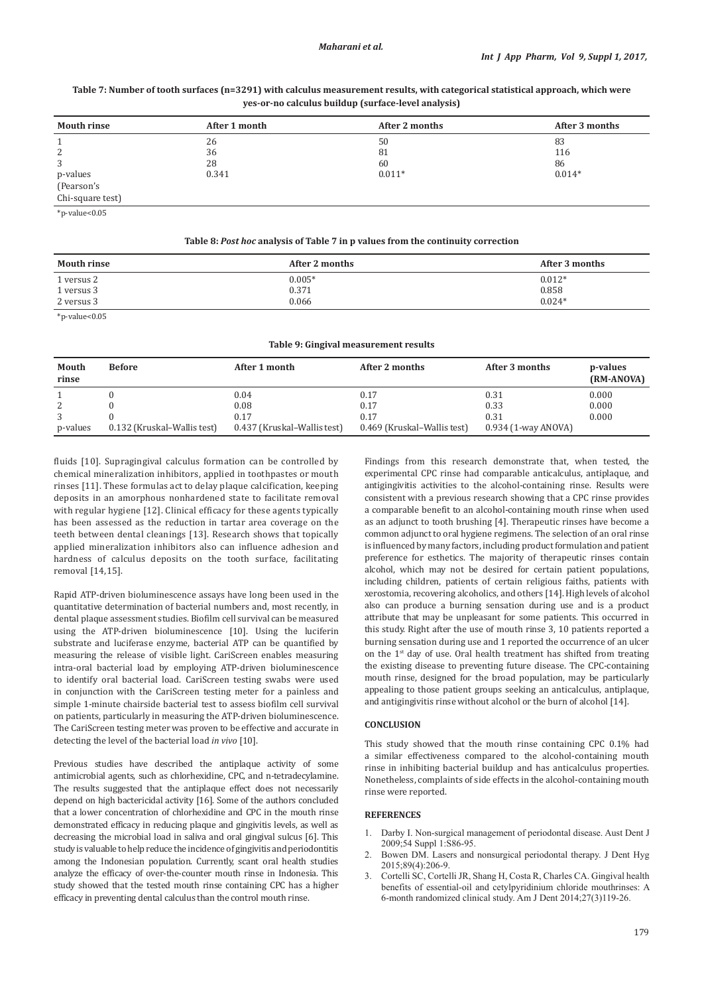## **Table 7: Number of tooth surfaces (n=3291) with calculus measurement results, with categorical statistical approach, which were yes‑or‑no calculus buildup (surface‑level analysis)**

| <b>Mouth rinse</b>                                                                                              | After 1 month | After 2 months | After 3 months |
|-----------------------------------------------------------------------------------------------------------------|---------------|----------------|----------------|
|                                                                                                                 | 26            | 50             | 83             |
| 2                                                                                                               | 36            | 81             | 116            |
| 3                                                                                                               | 28            | 60             | 86             |
| p-values                                                                                                        | 0.341         | $0.011*$       | $0.014*$       |
| (Pearson's                                                                                                      |               |                |                |
| Chi-square test)                                                                                                |               |                |                |
| the contract of the contract of the contract of the contract of the contract of the contract of the contract of |               |                |                |

 $*$ p-value< $0.05$ 

#### **Table 8:** *Post hoc* **analysis of Table 7 in p values from the continuity correction**

| <b>Mouth rinse</b> | After 2 months | After 3 months |
|--------------------|----------------|----------------|
| 1 versus 2         | $0.005*$       | $0.012*$       |
| 1 versus 3         | 0.371          | 0.858          |
| 2 versus 3         | 0.066          | $0.024*$       |

\*p-value<0.05

|  |  | Table 9: Gingival measurement results |
|--|--|---------------------------------------|
|--|--|---------------------------------------|

| Mouth<br>rinse | <b>Before</b>               | After 1 month               | After 2 months              | After 3 months        | p-values<br>(RM-ANOVA) |
|----------------|-----------------------------|-----------------------------|-----------------------------|-----------------------|------------------------|
|                |                             | 0.04                        | 0.17                        | 0.31                  | 0.000                  |
|                |                             | 0.08                        | 0.17                        | 0.33                  | 0.000                  |
|                |                             | 0.17                        | 0.17                        | 0.31                  | 0.000                  |
| p-values       | 0.132 (Kruskal–Wallis test) | 0.437 (Kruskal–Wallis test) | 0.469 (Kruskal-Wallis test) | $0.934$ (1-way ANOVA) |                        |

fluids [10]. Supragingival calculus formation can be controlled by chemical mineralization inhibitors, applied in toothpastes or mouth rinses [11]. These formulas act to delay plaque calcification, keeping deposits in an amorphous nonhardened state to facilitate removal with regular hygiene [12]. Clinical efficacy for these agents typically has been assessed as the reduction in tartar area coverage on the teeth between dental cleanings [13]. Research shows that topically applied mineralization inhibitors also can influence adhesion and hardness of calculus deposits on the tooth surface, facilitating removal [14,15].

Rapid ATP-driven bioluminescence assays have long been used in the quantitative determination of bacterial numbers and, most recently, in dental plaque assessment studies. Biofilm cell survival can be measured using the ATP-driven bioluminescence [10]. Using the luciferin substrate and luciferase enzyme, bacterial ATP can be quantified by measuring the release of visible light. CariScreen enables measuring intra-oral bacterial load by employing ATP-driven bioluminescence to identify oral bacterial load. CariScreen testing swabs were used in conjunction with the CariScreen testing meter for a painless and simple 1-minute chairside bacterial test to assess biofilm cell survival on patients, particularly in measuring the ATP-driven bioluminescence. The CariScreen testing meter was proven to be effective and accurate in detecting the level of the bacterial load *in vivo* [10].

Previous studies have described the antiplaque activity of some antimicrobial agents, such as chlorhexidine, CPC, and n-tetradecylamine. The results suggested that the antiplaque effect does not necessarily depend on high bactericidal activity [16]. Some of the authors concluded that a lower concentration of chlorhexidine and CPC in the mouth rinse demonstrated efficacy in reducing plaque and gingivitis levels, as well as decreasing the microbial load in saliva and oral gingival sulcus [6]. This study is valuable to help reduce the incidence of gingivitis and periodontitis among the Indonesian population. Currently, scant oral health studies analyze the efficacy of over-the-counter mouth rinse in Indonesia. This study showed that the tested mouth rinse containing CPC has a higher efficacy in preventing dental calculus than the control mouth rinse.

Findings from this research demonstrate that, when tested, the experimental CPC rinse had comparable anticalculus, antiplaque, and antigingivitis activities to the alcohol-containing rinse. Results were consistent with a previous research showing that a CPC rinse provides a comparable benefit to an alcohol-containing mouth rinse when used as an adjunct to tooth brushing [4]. Therapeutic rinses have become a common adjunct to oral hygiene regimens. The selection of an oral rinse is influenced by many factors, including product formulation and patient preference for esthetics. The majority of therapeutic rinses contain alcohol, which may not be desired for certain patient populations, including children, patients of certain religious faiths, patients with xerostomia, recovering alcoholics, and others [14]. High levels of alcohol also can produce a burning sensation during use and is a product attribute that may be unpleasant for some patients. This occurred in this study. Right after the use of mouth rinse 3, 10 patients reported a burning sensation during use and 1 reported the occurrence of an ulcer on the 1st day of use. Oral health treatment has shifted from treating the existing disease to preventing future disease. The CPC-containing mouth rinse, designed for the broad population, may be particularly appealing to those patient groups seeking an anticalculus, antiplaque, and antigingivitis rinse without alcohol or the burn of alcohol [14].

### **CONCLUSION**

This study showed that the mouth rinse containing CPC 0.1% had a similar effectiveness compared to the alcohol-containing mouth rinse in inhibiting bacterial buildup and has anticalculus properties. Nonetheless, complaints of side effects in the alcohol-containing mouth rinse were reported.

#### **REFERENCES**

- 1. Darby I. Non-surgical management of periodontal disease. Aust Dent J 2009;54 Suppl 1:S86-95.
- 2. Bowen DM. Lasers and nonsurgical periodontal therapy. J Dent Hyg 2015;89(4):206-9.
- 3. Cortelli SC, Cortelli JR, Shang H, Costa R, Charles CA. Gingival health benefits of essential-oil and cetylpyridinium chloride mouthrinses: A 6-month randomized clinical study. Am J Dent 2014;27(3)119-26.